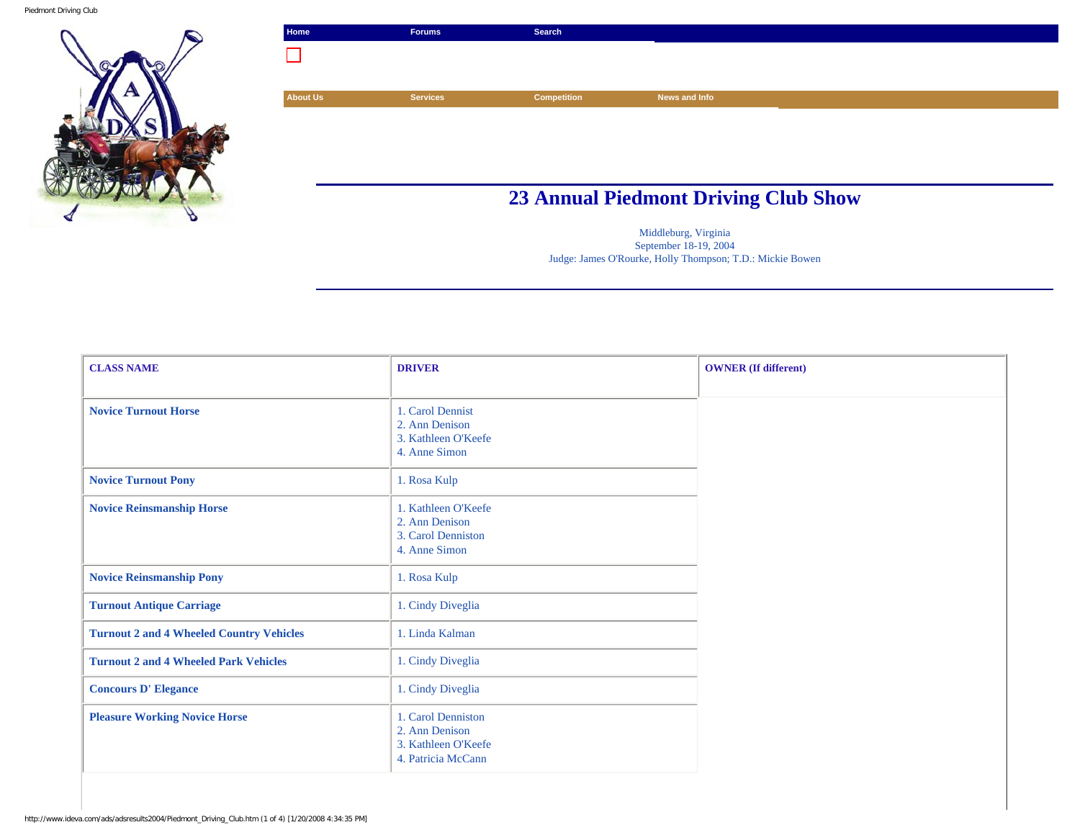

|                 | Forums          | Search      |               |  |
|-----------------|-----------------|-------------|---------------|--|
| $\mathcal{L}$   |                 |             |               |  |
|                 |                 |             |               |  |
| <b>About Us</b> | <b>Services</b> | Competition | News and Info |  |
|                 |                 |             |               |  |
|                 |                 |             |               |  |

## **23 Annual Piedmont Driving Club Show**

Middleburg, Virginia September 18-19, 2004 Judge: James O'Rourke, Holly Thompson; T.D.: Mickie Bowen

| <b>CLASS NAME</b>                               | <b>DRIVER</b>                                                                     | <b>OWNER</b> (If different) |
|-------------------------------------------------|-----------------------------------------------------------------------------------|-----------------------------|
|                                                 |                                                                                   |                             |
| <b>Novice Turnout Horse</b>                     | 1. Carol Dennist<br>2. Ann Denison<br>3. Kathleen O'Keefe<br>4. Anne Simon        |                             |
| <b>Novice Turnout Pony</b>                      | 1. Rosa Kulp                                                                      |                             |
| <b>Novice Reinsmanship Horse</b>                | 1. Kathleen O'Keefe<br>2. Ann Denison<br>3. Carol Denniston<br>4. Anne Simon      |                             |
| <b>Novice Reinsmanship Pony</b>                 | 1. Rosa Kulp                                                                      |                             |
| <b>Turnout Antique Carriage</b>                 | 1. Cindy Diveglia                                                                 |                             |
| <b>Turnout 2 and 4 Wheeled Country Vehicles</b> | 1. Linda Kalman                                                                   |                             |
| <b>Turnout 2 and 4 Wheeled Park Vehicles</b>    | 1. Cindy Diveglia                                                                 |                             |
| <b>Concours D'Elegance</b>                      | 1. Cindy Diveglia                                                                 |                             |
| <b>Pleasure Working Novice Horse</b>            | 1. Carol Denniston<br>2. Ann Denison<br>3. Kathleen O'Keefe<br>4. Patricia McCann |                             |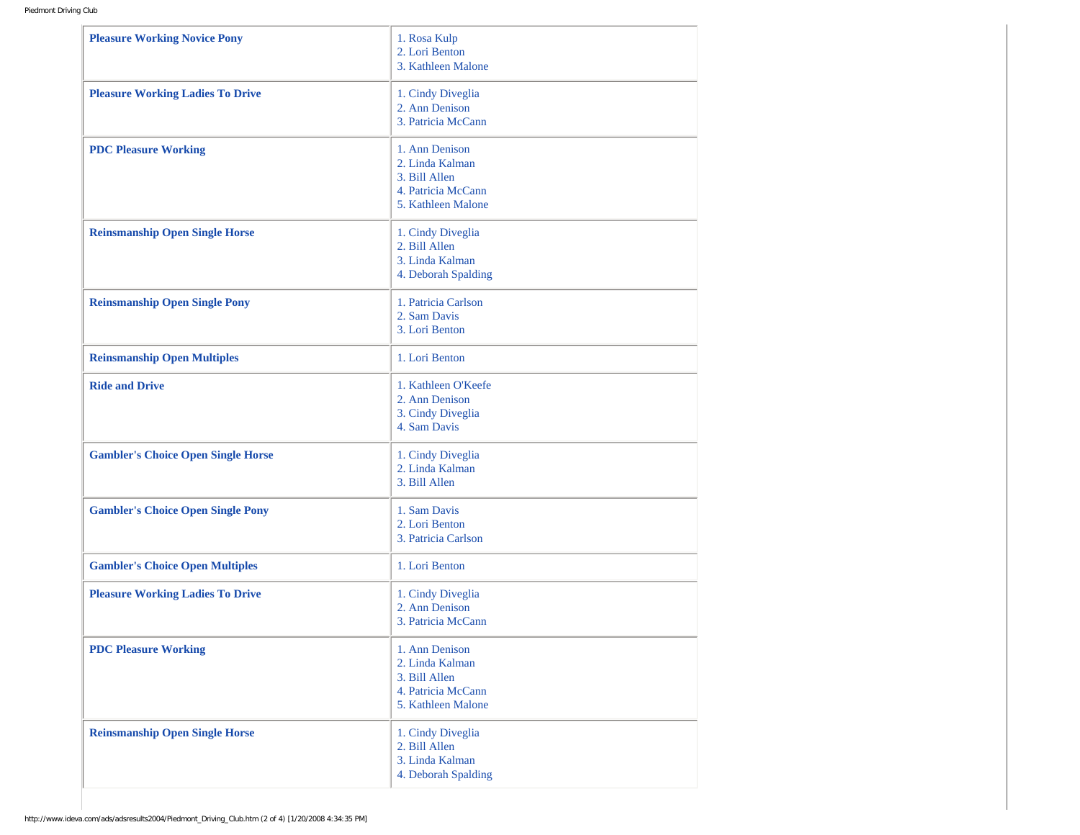| <b>Pleasure Working Novice Pony</b>       | 1. Rosa Kulp<br>2. Lori Benton<br>3. Kathleen Malone                                           |
|-------------------------------------------|------------------------------------------------------------------------------------------------|
| <b>Pleasure Working Ladies To Drive</b>   | 1. Cindy Diveglia<br>2. Ann Denison<br>3. Patricia McCann                                      |
| <b>PDC Pleasure Working</b>               | 1. Ann Denison<br>2. Linda Kalman<br>3. Bill Allen<br>4. Patricia McCann<br>5. Kathleen Malone |
| <b>Reinsmanship Open Single Horse</b>     | 1. Cindy Diveglia<br>2. Bill Allen<br>3. Linda Kalman<br>4. Deborah Spalding                   |
| <b>Reinsmanship Open Single Pony</b>      | 1. Patricia Carlson<br>2. Sam Davis<br>3. Lori Benton                                          |
| <b>Reinsmanship Open Multiples</b>        | 1. Lori Benton                                                                                 |
| <b>Ride and Drive</b>                     | 1. Kathleen O'Keefe<br>2. Ann Denison<br>3. Cindy Diveglia<br>4. Sam Davis                     |
| <b>Gambler's Choice Open Single Horse</b> | 1. Cindy Diveglia<br>2. Linda Kalman<br>3. Bill Allen                                          |
| <b>Gambler's Choice Open Single Pony</b>  | 1. Sam Davis<br>2. Lori Benton<br>3. Patricia Carlson                                          |
| <b>Gambler's Choice Open Multiples</b>    | 1. Lori Benton                                                                                 |
| <b>Pleasure Working Ladies To Drive</b>   | 1. Cindy Diveglia<br>2. Ann Denison<br>3. Patricia McCann                                      |
| <b>PDC Pleasure Working</b>               | 1. Ann Denison<br>2. Linda Kalman<br>3. Bill Allen<br>4. Patricia McCann<br>5. Kathleen Malone |
| <b>Reinsmanship Open Single Horse</b>     | 1. Cindy Diveglia<br>2. Bill Allen<br>3. Linda Kalman<br>4. Deborah Spalding                   |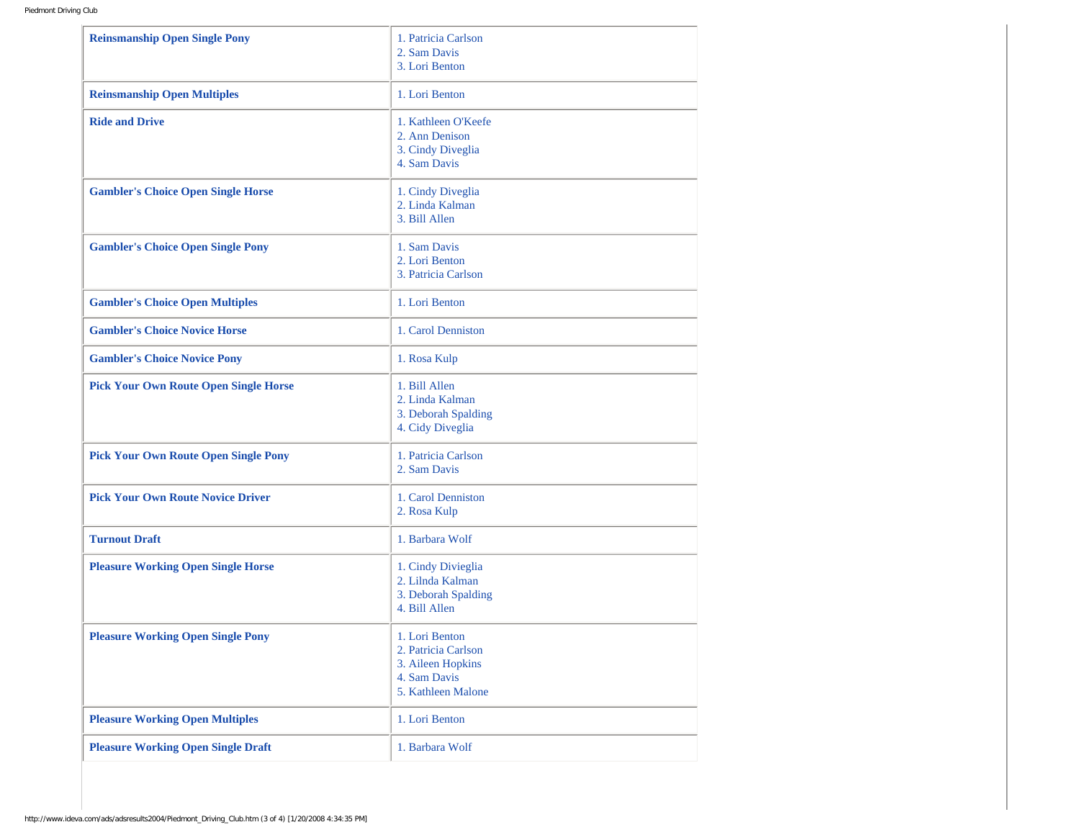| <b>Reinsmanship Open Single Pony</b>         | 1. Patricia Carlson<br>2. Sam Davis<br>3. Lori Benton                                            |
|----------------------------------------------|--------------------------------------------------------------------------------------------------|
| <b>Reinsmanship Open Multiples</b>           | 1. Lori Benton                                                                                   |
| <b>Ride and Drive</b>                        | 1. Kathleen O'Keefe<br>2. Ann Denison<br>3. Cindy Diveglia<br>4. Sam Davis                       |
| <b>Gambler's Choice Open Single Horse</b>    | 1. Cindy Diveglia<br>2. Linda Kalman<br>3. Bill Allen                                            |
| <b>Gambler's Choice Open Single Pony</b>     | 1. Sam Davis<br>2. Lori Benton<br>3. Patricia Carlson                                            |
| <b>Gambler's Choice Open Multiples</b>       | 1. Lori Benton                                                                                   |
| <b>Gambler's Choice Novice Horse</b>         | 1. Carol Denniston                                                                               |
| <b>Gambler's Choice Novice Pony</b>          | 1. Rosa Kulp                                                                                     |
| <b>Pick Your Own Route Open Single Horse</b> | 1. Bill Allen<br>2. Linda Kalman<br>3. Deborah Spalding<br>4. Cidy Diveglia                      |
| <b>Pick Your Own Route Open Single Pony</b>  | 1. Patricia Carlson<br>2. Sam Davis                                                              |
| <b>Pick Your Own Route Novice Driver</b>     | 1. Carol Denniston<br>2. Rosa Kulp                                                               |
| <b>Turnout Draft</b>                         | 1. Barbara Wolf                                                                                  |
| <b>Pleasure Working Open Single Horse</b>    | 1. Cindy Divieglia<br>2. Lilnda Kalman<br>3. Deborah Spalding<br>4. Bill Allen                   |
| <b>Pleasure Working Open Single Pony</b>     | 1. Lori Benton<br>2. Patricia Carlson<br>3. Aileen Hopkins<br>4. Sam Davis<br>5. Kathleen Malone |
| <b>Pleasure Working Open Multiples</b>       | 1. Lori Benton                                                                                   |
| <b>Pleasure Working Open Single Draft</b>    | 1. Barbara Wolf                                                                                  |